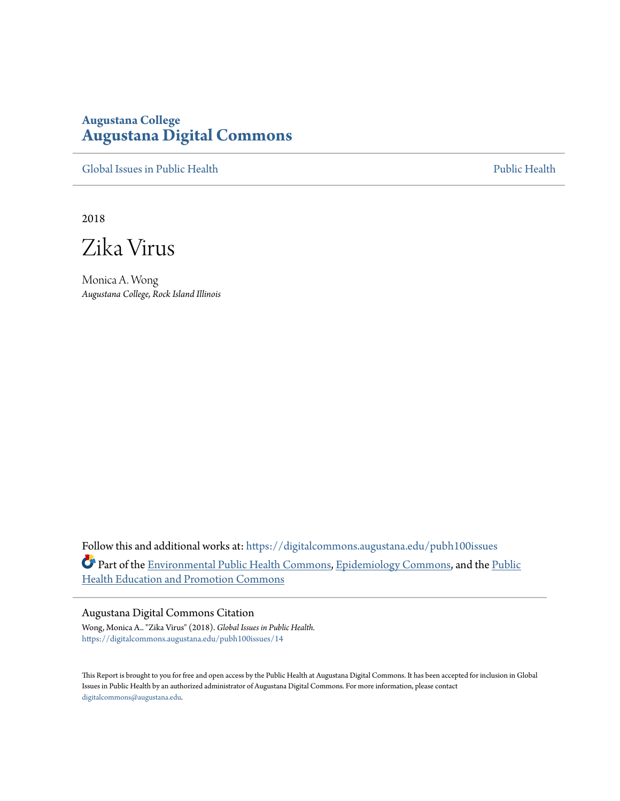# **Augustana College [Augustana Digital Commons](https://digitalcommons.augustana.edu?utm_source=digitalcommons.augustana.edu%2Fpubh100issues%2F14&utm_medium=PDF&utm_campaign=PDFCoverPages)**

[Global Issues in Public Health](https://digitalcommons.augustana.edu/pubh100issues?utm_source=digitalcommons.augustana.edu%2Fpubh100issues%2F14&utm_medium=PDF&utm_campaign=PDFCoverPages) [Public Health](https://digitalcommons.augustana.edu/publichealth?utm_source=digitalcommons.augustana.edu%2Fpubh100issues%2F14&utm_medium=PDF&utm_campaign=PDFCoverPages) Public Health Public Health Public Health

2018

Zika Virus

Monica A. Wong *Augustana College, Rock Island Illinois*

Follow this and additional works at: [https://digitalcommons.augustana.edu/pubh100issues](https://digitalcommons.augustana.edu/pubh100issues?utm_source=digitalcommons.augustana.edu%2Fpubh100issues%2F14&utm_medium=PDF&utm_campaign=PDFCoverPages) Part of the [Environmental Public Health Commons](http://network.bepress.com/hgg/discipline/739?utm_source=digitalcommons.augustana.edu%2Fpubh100issues%2F14&utm_medium=PDF&utm_campaign=PDFCoverPages), [Epidemiology Commons](http://network.bepress.com/hgg/discipline/740?utm_source=digitalcommons.augustana.edu%2Fpubh100issues%2F14&utm_medium=PDF&utm_campaign=PDFCoverPages), and the [Public](http://network.bepress.com/hgg/discipline/743?utm_source=digitalcommons.augustana.edu%2Fpubh100issues%2F14&utm_medium=PDF&utm_campaign=PDFCoverPages) [Health Education and Promotion Commons](http://network.bepress.com/hgg/discipline/743?utm_source=digitalcommons.augustana.edu%2Fpubh100issues%2F14&utm_medium=PDF&utm_campaign=PDFCoverPages)

#### Augustana Digital Commons Citation

Wong, Monica A.. "Zika Virus" (2018). *Global Issues in Public Health.* [https://digitalcommons.augustana.edu/pubh100issues/14](https://digitalcommons.augustana.edu/pubh100issues/14?utm_source=digitalcommons.augustana.edu%2Fpubh100issues%2F14&utm_medium=PDF&utm_campaign=PDFCoverPages)

This Report is brought to you for free and open access by the Public Health at Augustana Digital Commons. It has been accepted for inclusion in Global Issues in Public Health by an authorized administrator of Augustana Digital Commons. For more information, please contact [digitalcommons@augustana.edu.](mailto:digitalcommons@augustana.edu)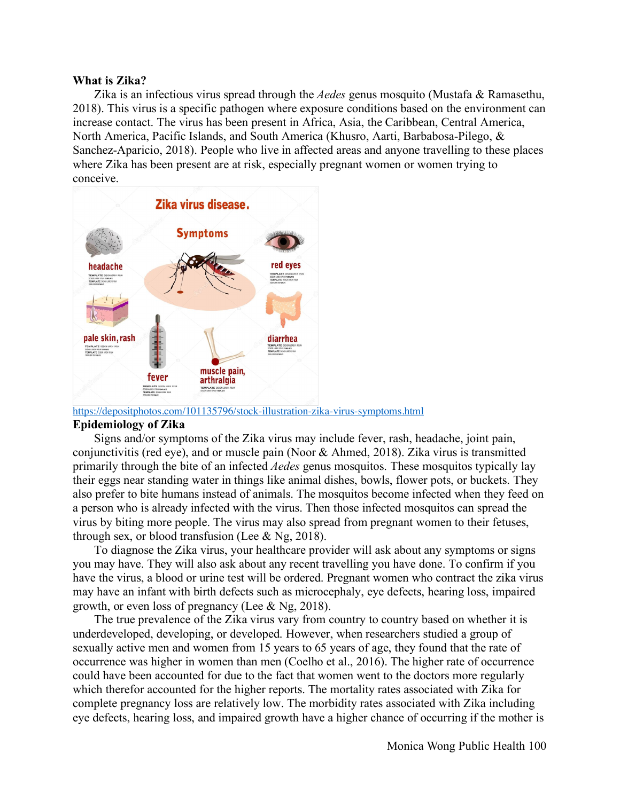## **What is Zika?**

Zika is an infectious virus spread through the *Aedes* genus mosquito (Mustafa & Ramasethu, 2018). This virus is a specific pathogen where exposure conditions based on the environment can increase contact. The virus has been present in Africa, Asia, the Caribbean, Central America, North America, Pacific Islands, and South America (Khusro, Aarti, Barbabosa-Pilego, & Sanchez-Aparicio, 2018). People who live in affected areas and anyone travelling to these places where Zika has been present are at risk, especially pregnant women or women trying to conceive.



https://depositphotos.com/101135796/stock-illustration-zika-virus-symptoms.html

# **Epidemiology of Zika**

Signs and/or symptoms of the Zika virus may include fever, rash, headache, joint pain, conjunctivitis (red eye), and or muscle pain (Noor  $\&$  Ahmed, 2018). Zika virus is transmitted primarily through the bite of an infected *Aedes* genus mosquitos. These mosquitos typically lay their eggs near standing water in things like animal dishes, bowls, flower pots, or buckets. They also prefer to bite humans instead of animals. The mosquitos become infected when they feed on a person who is already infected with the virus. Then those infected mosquitos can spread the virus by biting more people. The virus may also spread from pregnant women to their fetuses, through sex, or blood transfusion (Lee  $&$  Ng, 2018).

To diagnose the Zika virus, your healthcare provider will ask about any symptoms or signs you may have. They will also ask about any recent travelling you have done. To confirm if you have the virus, a blood or urine test will be ordered. Pregnant women who contract the zika virus may have an infant with birth defects such as microcephaly, eye defects, hearing loss, impaired growth, or even loss of pregnancy (Lee & Ng, 2018).

The true prevalence of the Zika virus vary from country to country based on whether it is underdeveloped, developing, or developed. However, when researchers studied a group of sexually active men and women from 15 years to 65 years of age, they found that the rate of occurrence was higher in women than men (Coelho et al., 2016). The higher rate of occurrence could have been accounted for due to the fact that women went to the doctors more regularly which therefor accounted for the higher reports. The mortality rates associated with Zika for complete pregnancy loss are relatively low. The morbidity rates associated with Zika including eye defects, hearing loss, and impaired growth have a higher chance of occurring if the mother is